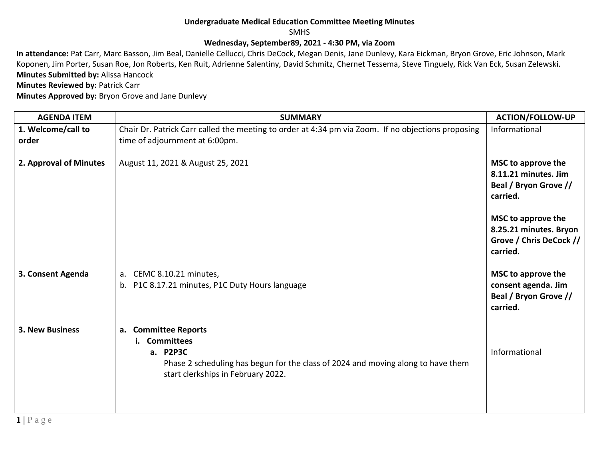## **Undergraduate Medical Education Committee Meeting Minutes**

SMHS

## **Wednesday, September89, 2021 - 4:30 PM, via Zoom**

**In attendance:** Pat Carr, Marc Basson, Jim Beal, Danielle Cellucci, Chris DeCock, Megan Denis, Jane Dunlevy, Kara Eickman, Bryon Grove, Eric Johnson, Mark Koponen, Jim Porter, Susan Roe, Jon Roberts, Ken Ruit, Adrienne Salentiny, David Schmitz, Chernet Tessema, Steve Tinguely, Rick Van Eck, Susan Zelewski. **Minutes Submitted by:** Alissa Hancock

**Minutes Reviewed by: Patrick Carr** 

**Minutes Approved by:** Bryon Grove and Jane Dunlevy

| <b>AGENDA ITEM</b>          | <b>SUMMARY</b>                                                                                                                                                                  | <b>ACTION/FOLLOW-UP</b>                                                                                                                                                |
|-----------------------------|---------------------------------------------------------------------------------------------------------------------------------------------------------------------------------|------------------------------------------------------------------------------------------------------------------------------------------------------------------------|
| 1. Welcome/call to<br>order | Chair Dr. Patrick Carr called the meeting to order at 4:34 pm via Zoom. If no objections proposing<br>time of adjournment at 6:00pm.                                            | Informational                                                                                                                                                          |
| 2. Approval of Minutes      | August 11, 2021 & August 25, 2021                                                                                                                                               | MSC to approve the<br>8.11.21 minutes. Jim<br>Beal / Bryon Grove //<br>carried.<br>MSC to approve the<br>8.25.21 minutes. Bryon<br>Grove / Chris DeCock //<br>carried. |
| 3. Consent Agenda           | CEMC 8.10.21 minutes,<br>a.<br>P1C 8.17.21 minutes, P1C Duty Hours language<br>b.                                                                                               | MSC to approve the<br>consent agenda. Jim<br>Beal / Bryon Grove //<br>carried.                                                                                         |
| <b>3. New Business</b>      | a. Committee Reports<br><b>Committees</b><br>a. P2P3C<br>Phase 2 scheduling has begun for the class of 2024 and moving along to have them<br>start clerkships in February 2022. | Informational                                                                                                                                                          |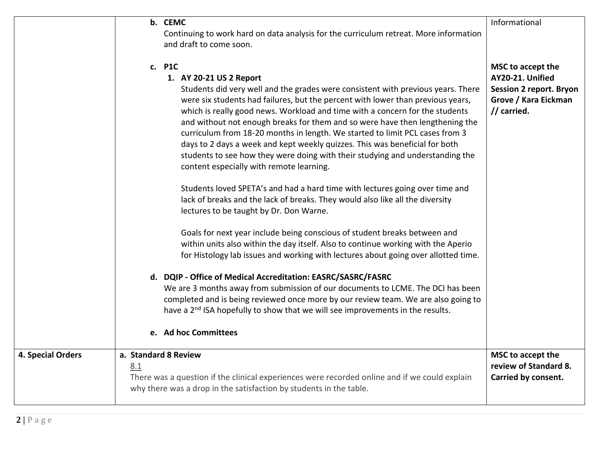|                          | b. CEMC<br>Continuing to work hard on data analysis for the curriculum retreat. More information<br>and draft to come soon.                                                                                                                                                                                                                                                                                                                                                                                                                                                                                                                                                                                                                                                                                                           | Informational                                                                                                  |
|--------------------------|---------------------------------------------------------------------------------------------------------------------------------------------------------------------------------------------------------------------------------------------------------------------------------------------------------------------------------------------------------------------------------------------------------------------------------------------------------------------------------------------------------------------------------------------------------------------------------------------------------------------------------------------------------------------------------------------------------------------------------------------------------------------------------------------------------------------------------------|----------------------------------------------------------------------------------------------------------------|
|                          | c. P1C<br>1. AY 20-21 US 2 Report<br>Students did very well and the grades were consistent with previous years. There<br>were six students had failures, but the percent with lower than previous years,<br>which is really good news. Workload and time with a concern for the students<br>and without not enough breaks for them and so were have then lengthening the<br>curriculum from 18-20 months in length. We started to limit PCL cases from 3<br>days to 2 days a week and kept weekly quizzes. This was beneficial for both<br>students to see how they were doing with their studying and understanding the<br>content especially with remote learning.<br>Students loved SPETA's and had a hard time with lectures going over time and<br>lack of breaks and the lack of breaks. They would also like all the diversity | MSC to accept the<br>AY20-21. Unified<br><b>Session 2 report. Bryon</b><br>Grove / Kara Eickman<br>// carried. |
|                          | lectures to be taught by Dr. Don Warne.<br>Goals for next year include being conscious of student breaks between and<br>within units also within the day itself. Also to continue working with the Aperio<br>for Histology lab issues and working with lectures about going over allotted time.                                                                                                                                                                                                                                                                                                                                                                                                                                                                                                                                       |                                                                                                                |
|                          | d. DQIP - Office of Medical Accreditation: EASRC/SASRC/FASRC<br>We are 3 months away from submission of our documents to LCME. The DCI has been<br>completed and is being reviewed once more by our review team. We are also going to<br>have a 2 <sup>nd</sup> ISA hopefully to show that we will see improvements in the results.<br>e. Ad hoc Committees                                                                                                                                                                                                                                                                                                                                                                                                                                                                           |                                                                                                                |
| <b>4. Special Orders</b> | a. Standard 8 Review<br>8.1<br>There was a question if the clinical experiences were recorded online and if we could explain<br>why there was a drop in the satisfaction by students in the table.                                                                                                                                                                                                                                                                                                                                                                                                                                                                                                                                                                                                                                    | MSC to accept the<br>review of Standard 8.<br>Carried by consent.                                              |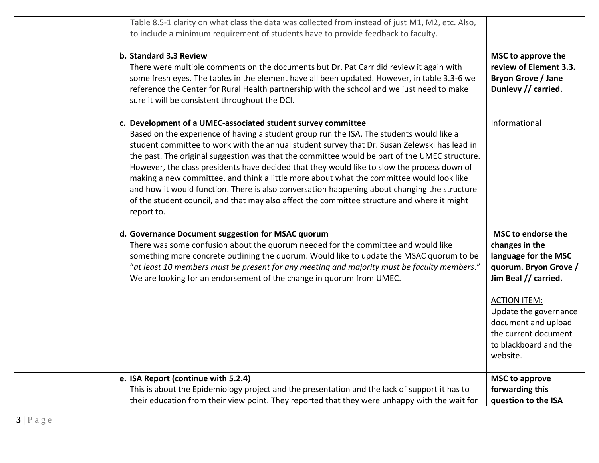| Table 8.5-1 clarity on what class the data was collected from instead of just M1, M2, etc. Also,<br>to include a minimum requirement of students have to provide feedback to faculty.<br>b. Standard 3.3 Review<br>There were multiple comments on the documents but Dr. Pat Carr did review it again with<br>some fresh eyes. The tables in the element have all been updated. However, in table 3.3-6 we<br>reference the Center for Rural Health partnership with the school and we just need to make<br>sure it will be consistent throughout the DCI.                                                                                                                                                                                                        | MSC to approve the<br>review of Element 3.3.<br><b>Bryon Grove / Jane</b><br>Dunlevy // carried.                                                                                                                                                  |
|-------------------------------------------------------------------------------------------------------------------------------------------------------------------------------------------------------------------------------------------------------------------------------------------------------------------------------------------------------------------------------------------------------------------------------------------------------------------------------------------------------------------------------------------------------------------------------------------------------------------------------------------------------------------------------------------------------------------------------------------------------------------|---------------------------------------------------------------------------------------------------------------------------------------------------------------------------------------------------------------------------------------------------|
| c. Development of a UMEC-associated student survey committee<br>Based on the experience of having a student group run the ISA. The students would like a<br>student committee to work with the annual student survey that Dr. Susan Zelewski has lead in<br>the past. The original suggestion was that the committee would be part of the UMEC structure.<br>However, the class presidents have decided that they would like to slow the process down of<br>making a new committee, and think a little more about what the committee would look like<br>and how it would function. There is also conversation happening about changing the structure<br>of the student council, and that may also affect the committee structure and where it might<br>report to. | Informational                                                                                                                                                                                                                                     |
| d. Governance Document suggestion for MSAC quorum<br>There was some confusion about the quorum needed for the committee and would like<br>something more concrete outlining the quorum. Would like to update the MSAC quorum to be<br>"at least 10 members must be present for any meeting and majority must be faculty members."<br>We are looking for an endorsement of the change in quorum from UMEC.                                                                                                                                                                                                                                                                                                                                                         | MSC to endorse the<br>changes in the<br>language for the MSC<br>quorum. Bryon Grove /<br>Jim Beal // carried.<br><b>ACTION ITEM:</b><br>Update the governance<br>document and upload<br>the current document<br>to blackboard and the<br>website. |
| e. ISA Report (continue with 5.2.4)<br>This is about the Epidemiology project and the presentation and the lack of support it has to<br>their education from their view point. They reported that they were unhappy with the wait for                                                                                                                                                                                                                                                                                                                                                                                                                                                                                                                             | <b>MSC to approve</b><br>forwarding this<br>question to the ISA                                                                                                                                                                                   |